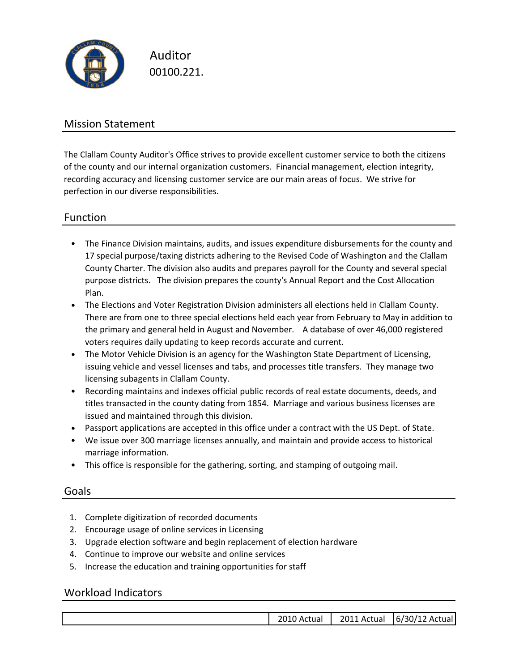

Auditor 00100.221.

### Mission Statement

The Clallam County Auditor's Office strives to provide excellent customer service to both the citizens of the county and our internal organization customers. Financial management, election integrity, recording accuracy and licensing customer service are our main areas of focus. We strive for perfection in our diverse responsibilities.

### Function

- The Finance Division maintains, audits, and issues expenditure disbursements for the county and 17 special purpose/taxing districts adhering to the Revised Code of Washington and the Clallam County Charter. The division also audits and prepares payroll for the County and several special purpose districts. The division prepares the county's Annual Report and the Cost Allocation Plan.
- $\bullet$ The Elections and Voter Registration Division administers all elections held in Clallam County. There are from one to three special elections held each year from February to May in addition to the primary and general held in August and November. A database of over 46,000 registered voters requires daily updating to keep records accurate and current.
- The Motor Vehicle Division is an agency for the Washington State Department of Licensing, issuing vehicle and vessel licenses and tabs, and processes title transfers. They manage two licensing subagents in Clallam County.
- Recording maintains and indexes official public records of real estate documents, deeds, and titles transacted in the county dating from 1854. Marriage and various business licenses are issued and maintained through this division.
- Passport applications are accepted in this office under a contract with the US Dept. of State.
- We issue over 300 marriage licenses annually, and maintain and provide access to historical marriage information.
- This office is responsible for the gathering, sorting, and stamping of outgoing mail.

#### Goals

- 1. Complete digitization of recorded documents
- 2. Encourage usage of online services in Licensing
- 3. Upgrade election software and begin replacement of election hardware
- 4. Continue to improve our website and online services
- 5. Increase the education and training opportunities for staff

#### Workload Indicators

| Actual<br>. | 201<br>$-$ - $-1$<br>Actuar<br>_____ | .30/1<br>ا ctual<br>h/<br>AC<br>ᅩᄼ |
|-------------|--------------------------------------|------------------------------------|
|             |                                      |                                    |